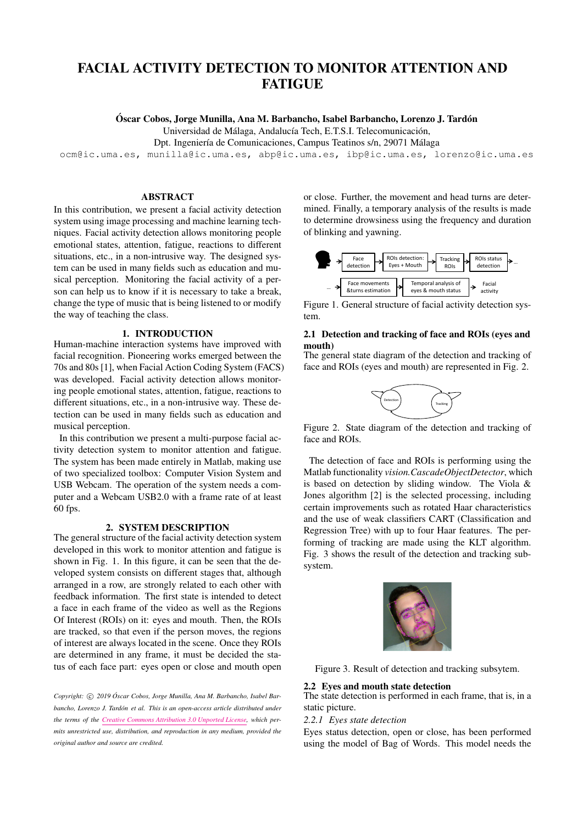# FACIAL ACTIVITY DETECTION TO MONITOR ATTENTION AND **FATIGUE**

Óscar Cobos, Jorge Munilla, Ana M. Barbancho, Isabel Barbancho, Lorenzo J. Tardón

Universidad de Málaga, Andalucía Tech, E.T.S.I. Telecomunicación,

Dpt. Ingeniería de Comunicaciones, Campus Teatinos s/n, 29071 Málaga

[ocm@ic.uma.es, munilla@ic.uma.es, abp@ic.uma.es, ibp@ic.uma.es, lorenzo@ic.uma.es](mailto:author1@smcnetwork.org)

# ABSTRACT

In this contribution, we present a facial activity detection system using image processing and machine learning techniques. Facial activity detection allows monitoring people emotional states, attention, fatigue, reactions to different situations, etc., in a non-intrusive way. The designed system can be used in many fields such as education and musical perception. Monitoring the facial activity of a person can help us to know if it is necessary to take a break, change the type of music that is being listened to or modify the way of teaching the class.

# 1. INTRODUCTION

Human-machine interaction systems have improved with facial recognition. Pioneering works emerged between the 70s and 80s [\[1\]](#page-1-0), when Facial Action Coding System (FACS) was developed. Facial activity detection allows monitoring people emotional states, attention, fatigue, reactions to different situations, etc., in a non-intrusive way. These detection can be used in many fields such as education and musical perception.

In this contribution we present a multi-purpose facial activity detection system to monitor attention and fatigue. The system has been made entirely in Matlab, making use of two specialized toolbox: Computer Vision System and USB Webcam. The operation of the system needs a computer and a Webcam USB2.0 with a frame rate of at least 60 fps.

#### 2. SYSTEM DESCRIPTION

The general structure of the facial activity detection system developed in this work to monitor attention and fatigue is shown in Fig. [1.](#page-0-0) In this figure, it can be seen that the developed system consists on different stages that, although arranged in a row, are strongly related to each other with feedback information. The first state is intended to detect a face in each frame of the video as well as the Regions Of Interest (ROIs) on it: eyes and mouth. Then, the ROIs are tracked, so that even if the person moves, the regions of interest are always located in the scene. Once they ROIs are determined in any frame, it must be decided the status of each face part: eyes open or close and mouth open

Copyright:  $\odot$  2019 Óscar Cobos, Jorge Munilla, Ana M. Barbancho, Isabel Bar*bancho, Lorenzo J. Tardon et al. This is an open-access article distributed under ´ the terms of the [Creative Commons Attribution 3.0 Unported License,](http://creativecommons.org/licenses/by/3.0/) which permits unrestricted use, distribution, and reproduction in any medium, provided the original author and source are credited.*

or close. Further, the movement and head turns are determined. Finally, a temporary analysis of the results is made to determine drowsiness using the frequency and duration of blinking and yawning.

<span id="page-0-0"></span>

Figure 1. General structure of facial activity detection system.

# 2.1 Detection and tracking of face and ROIs (eyes and mouth)

<span id="page-0-1"></span>The general state diagram of the detection and tracking of … face and ROIs (eyes and mouth) are represented in Fig. [2.](#page-0-1)



Figure 2. State diagram of the detection and tracking of face and ROIs.

The detection of face and ROIs is performing using the Matlab functionality *vision.CascadeObjectDetector*, which is based on detection by sliding window. The Viola & Jones algorithm [\[2\]](#page-1-1) is the selected processing, including certain improvements such as rotated Haar characteristics and the use of weak classifiers CART (Classification and Regression Tree) with up to four Haar features. The performing of tracking are made using the KLT algorithm. Fig. [3](#page-0-2) shows the result of the detection and tracking subsystem.

<span id="page-0-2"></span>

Figure 3. Result of detection and tracking subsytem.

# 2.2 Eyes and mouth state detection

The state detection is performed in each frame, that is, in a static picture.

# 2.2.1 Eyes state detection

Eyes status detection, open or close, has been performed using the model of Bag of Words. This model needs the